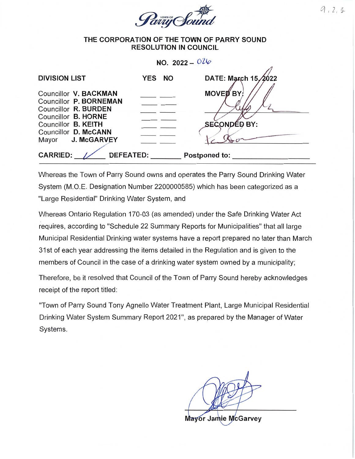

#### THE CORPORATION OF THE TOWN OF PARRY SOUND RESOLUTION IN COUNCIL

NO. 2022 -  $0\ell\psi$ 

| <b>DIVISION LIST</b>                                                      | YES NO | DATE: March 15, 2022 |
|---------------------------------------------------------------------------|--------|----------------------|
| Councillor V. BACKMAN<br>Councillor P. BORNEMAN<br>Councillor R. BURDEN   |        | <b>MOVEØBY</b>       |
| Councillor <b>B. HORNE</b><br>Councillor B. KEITH<br>Councillor D. McCANN |        | SECONDED BY:         |
| Mayor J. McGARVEY                                                         |        |                      |
| <b>DEFEATED:</b><br><b>CARRIED:</b>                                       |        | <b>Postponed to:</b> |

Whereas the Town of Parry Sound owns and operates the Parry Sound Drinking Water System (M.O.E. Designation Number 2200000585) which has been categorized as a "Large Residential" Drinking Water System, and

Whereas Ontario Regulation 170-03 (as amended) under the Safe Drinking Water Act requires, according to "Schedule <sup>22</sup> Summary Reports for Municipalities" that all large Municipal Residential Drinking water systems have a report prepared no later than March 31st of each year addressing the items detailed in the Regulation and is given to the members of Council in the case of a drinking water system owned by a municipality;

Therefore, be it resolved that Council of the Town of Parry Sound hereby acknowledges receipt of the report titled:

"Town of Parry Sound Tony Agnello Water Treatment Plant, Large Municipal Residential Drinking Water System Summary Report 2021", as prepared by the Manager of Water Systems.

Mayor Jamie McGarvey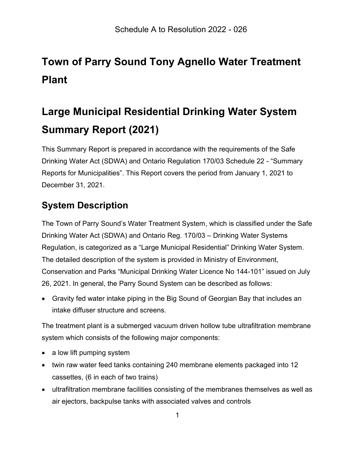## **Town of Parry Sound Tony Agnello Water Treatment Plant**

# **Large Municipal Residential Drinking Water System Summary Report (2021)**

This Summary Report is prepared in accordance with the requirements of the Safe Drinking Water Act (SDWA) and Ontario Regulation 170/03 Schedule 22 - "Summary Reports for Municipalities". This Report covers the period from January 1, 2021 to December 31, 2021.

### **System Description**

The Town of Parry Sound's Water Treatment System, which is classified under the Safe Drinking Water Act (SDWA) and Ontario Reg. 170/03 – Drinking Water Systems Regulation, is categorized as a "Large Municipal Residential" Drinking Water System. The detailed description of the system is provided in Ministry of Environment, Conservation and Parks "Municipal Drinking Water Licence No 144-101" issued on July 26, 2021. In general, the Parry Sound System can be described as follows:

• Gravity fed water intake piping in the Big Sound of Georgian Bay that includes an intake diffuser structure and screens.

The treatment plant is a submerged vacuum driven hollow tube ultrafiltration membrane system which consists of the following major components:

- a low lift pumping system
- twin raw water feed tanks containing 240 membrane elements packaged into 12 cassettes, (6 in each of two trains)
- ultrafiltration membrane facilities consisting of the membranes themselves as well as air ejectors, backpulse tanks with associated valves and controls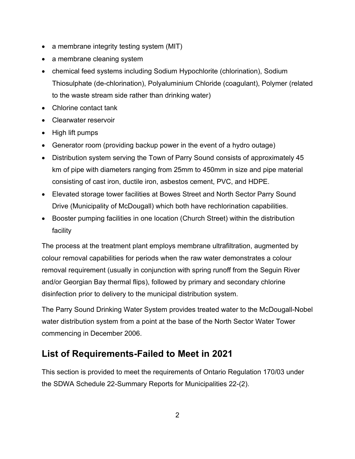- a membrane integrity testing system (MIT)
- a membrane cleaning system
- chemical feed systems including Sodium Hypochlorite (chlorination), Sodium Thiosulphate (de-chlorination), Polyaluminium Chloride (coagulant), Polymer (related to the waste stream side rather than drinking water)
- Chlorine contact tank
- Clearwater reservoir
- High lift pumps
- Generator room (providing backup power in the event of a hydro outage)
- Distribution system serving the Town of Parry Sound consists of approximately 45 km of pipe with diameters ranging from 25mm to 450mm in size and pipe material consisting of cast iron, ductile iron, asbestos cement, PVC, and HDPE.
- Elevated storage tower facilities at Bowes Street and North Sector Parry Sound Drive (Municipality of McDougall) which both have rechlorination capabilities.
- Booster pumping facilities in one location (Church Street) within the distribution facility

The process at the treatment plant employs membrane ultrafiltration, augmented by colour removal capabilities for periods when the raw water demonstrates a colour removal requirement (usually in conjunction with spring runoff from the Seguin River and/or Georgian Bay thermal flips), followed by primary and secondary chlorine disinfection prior to delivery to the municipal distribution system.

The Parry Sound Drinking Water System provides treated water to the McDougall-Nobel water distribution system from a point at the base of the North Sector Water Tower commencing in December 2006.

#### **List of Requirements-Failed to Meet in 2021**

This section is provided to meet the requirements of Ontario Regulation 170/03 under the SDWA Schedule 22-Summary Reports for Municipalities 22-(2).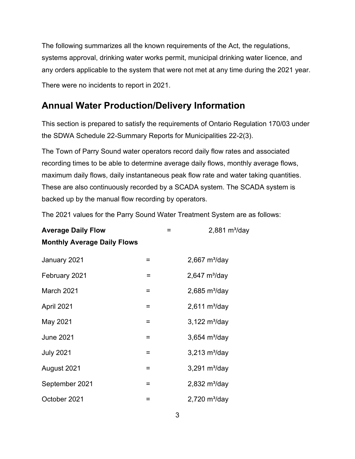The following summarizes all the known requirements of the Act, the regulations, systems approval, drinking water works permit, municipal drinking water licence, and any orders applicable to the system that were not met at any time during the 2021 year. There were no incidents to report in 2021.

### **Annual Water Production/Delivery Information**

This section is prepared to satisfy the requirements of Ontario Regulation 170/03 under the SDWA Schedule 22-Summary Reports for Municipalities 22-2(3).

The Town of Parry Sound water operators record daily flow rates and associated recording times to be able to determine average daily flows, monthly average flows, maximum daily flows, daily instantaneous peak flow rate and water taking quantities. These are also continuously recorded by a SCADA system. The SCADA system is backed up by the manual flow recording by operators.

The 2021 values for the Parry Sound Water Treatment System are as follows:

| <b>Average Daily Flow</b><br><b>Monthly Average Daily Flows</b> |   | $2,881 \text{ m}^3/\text{day}$ |
|-----------------------------------------------------------------|---|--------------------------------|
|                                                                 |   |                                |
| January 2021                                                    | = | $2,667 \text{ m}^3/\text{day}$ |
| February 2021                                                   | = | $2,647 \text{ m}^3/\text{day}$ |
| <b>March 2021</b>                                               |   | $2,685 \text{ m}^3/\text{day}$ |
| April 2021                                                      | Ξ | $2,611 \text{ m}^3/\text{day}$ |
| May 2021                                                        | Ξ | $3,122 \text{ m}^3/\text{day}$ |
| <b>June 2021</b>                                                | Ξ | $3,654 \text{ m}^3/\text{day}$ |
| <b>July 2021</b>                                                | = | $3,213 \text{ m}^3$ /day       |
| August 2021                                                     | Ξ | $3,291 \text{ m}^3/\text{day}$ |
| September 2021                                                  | Ξ | $2,832 \text{ m}^3/\text{day}$ |